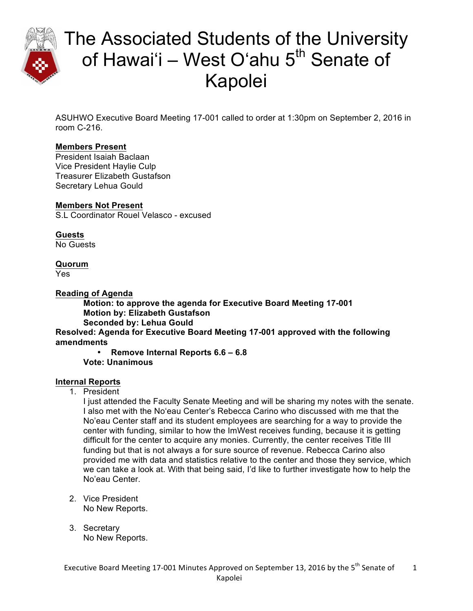

# The Associated Students of the University of Hawai'i – West O'ahu  $5<sup>th</sup>$  Senate of Kapolei

ASUHWO Executive Board Meeting 17-001 called to order at 1:30pm on September 2, 2016 in room C-216.

### **Members Present**

President Isaiah Baclaan Vice President Haylie Culp Treasurer Elizabeth Gustafson Secretary Lehua Gould

### **Members Not Present**

S.L Coordinator Rouel Velasco - excused

**Guests** No Guests

### **Quorum**

Yes

**Reading of Agenda**

**Motion: to approve the agenda for Executive Board Meeting 17-001 Motion by: Elizabeth Gustafson Seconded by: Lehua Gould**

**Resolved: Agenda for Executive Board Meeting 17-001 approved with the following amendments** 

• **Remove Internal Reports 6.6 – 6.8 Vote: Unanimous**

### **Internal Reports**

1. President

I just attended the Faculty Senate Meeting and will be sharing my notes with the senate. I also met with the Noʻeau Center's Rebecca Carino who discussed with me that the No'eau Center staff and its student employees are searching for a way to provide the center with funding, similar to how the ImWest receives funding, because it is getting difficult for the center to acquire any monies. Currently, the center receives Title III funding but that is not always a for sure source of revenue. Rebecca Carino also provided me with data and statistics relative to the center and those they service, which we can take a look at. With that being said, I'd like to further investigate how to help the No'eau Center.

- 2. Vice President No New Reports.
- 3. Secretary No New Reports.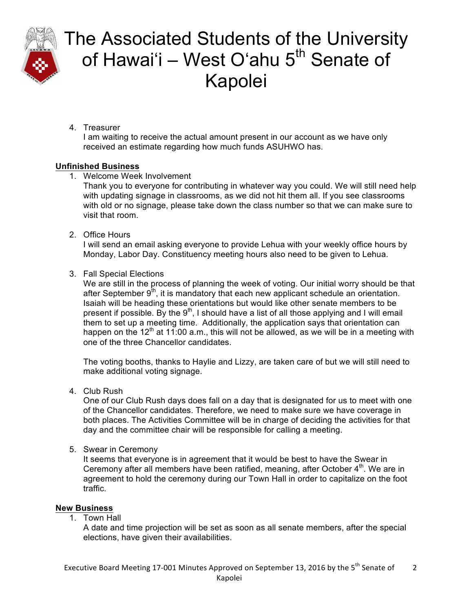

# The Associated Students of the University of Hawai'i – West O'ahu  $5<sup>th</sup>$  Senate of Kapolei

4. Treasurer

I am waiting to receive the actual amount present in our account as we have only received an estimate regarding how much funds ASUHWO has.

### **Unfinished Business**

1. Welcome Week Involvement

Thank you to everyone for contributing in whatever way you could. We will still need help with updating signage in classrooms, as we did not hit them all. If you see classrooms with old or no signage, please take down the class number so that we can make sure to visit that room.

2. Office Hours

I will send an email asking everyone to provide Lehua with your weekly office hours by Monday, Labor Day. Constituency meeting hours also need to be given to Lehua.

3. Fall Special Elections

We are still in the process of planning the week of voting. Our initial worry should be that after September  $9<sup>th</sup>$ , it is mandatory that each new applicant schedule an orientation. Isaiah will be heading these orientations but would like other senate members to be present if possible. By the  $9<sup>th</sup>$ , I should have a list of all those applying and I will email them to set up a meeting time. Additionally, the application says that orientation can happen on the  $12<sup>th</sup>$  at 11:00 a.m., this will not be allowed, as we will be in a meeting with one of the three Chancellor candidates.

The voting booths, thanks to Haylie and Lizzy, are taken care of but we will still need to make additional voting signage.

4. Club Rush

One of our Club Rush days does fall on a day that is designated for us to meet with one of the Chancellor candidates. Therefore, we need to make sure we have coverage in both places. The Activities Committee will be in charge of deciding the activities for that day and the committee chair will be responsible for calling a meeting.

5. Swear in Ceremony

It seems that everyone is in agreement that it would be best to have the Swear in Ceremony after all members have been ratified, meaning, after October  $4<sup>th</sup>$ . We are in agreement to hold the ceremony during our Town Hall in order to capitalize on the foot traffic.

### **New Business**

1. Town Hall

A date and time projection will be set as soon as all senate members, after the special elections, have given their availabilities.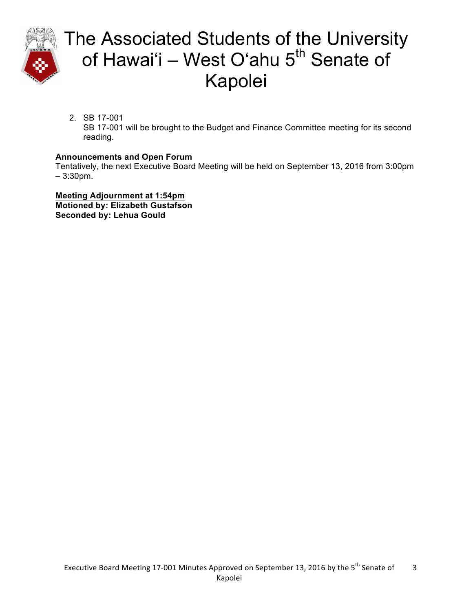

# The Associated Students of the University of Hawai'i – West O'ahu  $5<sup>th</sup>$  Senate of Kapolei

2. SB 17-001

SB 17-001 will be brought to the Budget and Finance Committee meeting for its second reading.

### **Announcements and Open Forum**

Tentatively, the next Executive Board Meeting will be held on September 13, 2016 from 3:00pm – 3:30pm.

**Meeting Adjournment at 1:54pm Motioned by: Elizabeth Gustafson Seconded by: Lehua Gould**